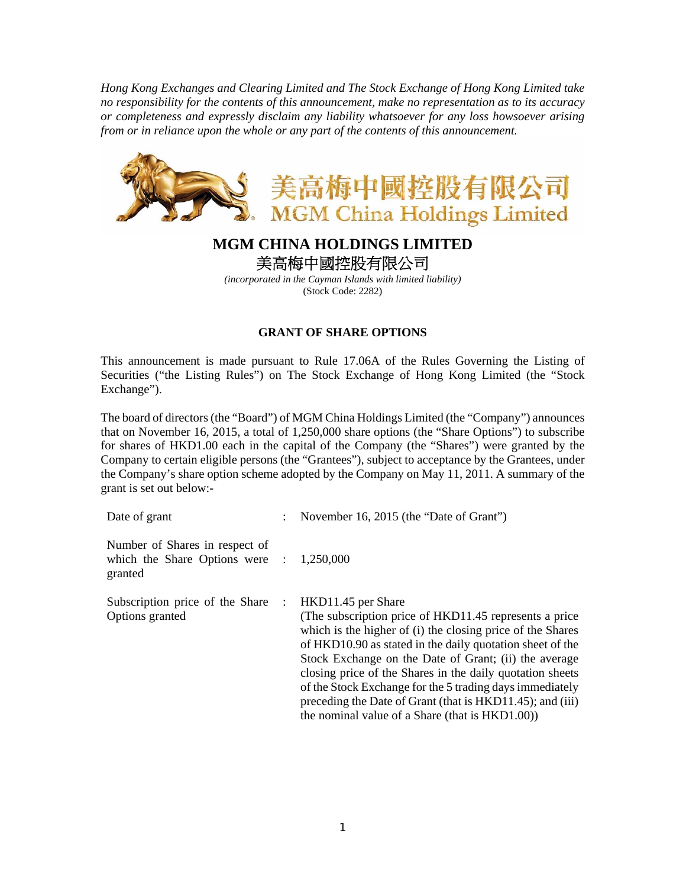*Hong Kong Exchanges and Clearing Limited and The Stock Exchange of Hong Kong Limited take no responsibility for the contents of this announcement, make no representation as to its accuracy or completeness and expressly disclaim any liability whatsoever for any loss howsoever arising from or in reliance upon the whole or any part of the contents of this announcement.* 



## **MGM CHINA HOLDINGS LIMITED**  美高梅中國控股有限公司

*(incorporated in the Cayman Islands with limited liability)*  (Stock Code: 2282)

## **GRANT OF SHARE OPTIONS**

This announcement is made pursuant to Rule 17.06A of the Rules Governing the Listing of Securities ("the Listing Rules") on The Stock Exchange of Hong Kong Limited (the "Stock Exchange").

The board of directors (the "Board") of MGM China Holdings Limited (the "Company") announces that on November 16, 2015, a total of 1,250,000 share options (the "Share Options") to subscribe for shares of HKD1.00 each in the capital of the Company (the "Shares") were granted by the Company to certain eligible persons (the "Grantees"), subject to acceptance by the Grantees, under the Company's share option scheme adopted by the Company on May 11, 2011. A summary of the grant is set out below:-

| Date of grant                                                               |   | November 16, 2015 (the "Date of Grant")                                                                                                                                                                                                                                                                                                                                                                                                                                                                    |
|-----------------------------------------------------------------------------|---|------------------------------------------------------------------------------------------------------------------------------------------------------------------------------------------------------------------------------------------------------------------------------------------------------------------------------------------------------------------------------------------------------------------------------------------------------------------------------------------------------------|
| Number of Shares in respect of<br>which the Share Options were :<br>granted |   | 1,250,000                                                                                                                                                                                                                                                                                                                                                                                                                                                                                                  |
| Subscription price of the Share<br>Options granted                          | ÷ | HKD11.45 per Share<br>(The subscription price of HKD11.45 represents a price)<br>which is the higher of (i) the closing price of the Shares<br>of HKD10.90 as stated in the daily quotation sheet of the<br>Stock Exchange on the Date of Grant; (ii) the average<br>closing price of the Shares in the daily quotation sheets<br>of the Stock Exchange for the 5 trading days immediately<br>preceding the Date of Grant (that is HKD11.45); and (iii)<br>the nominal value of a Share (that is HKD1.00)) |